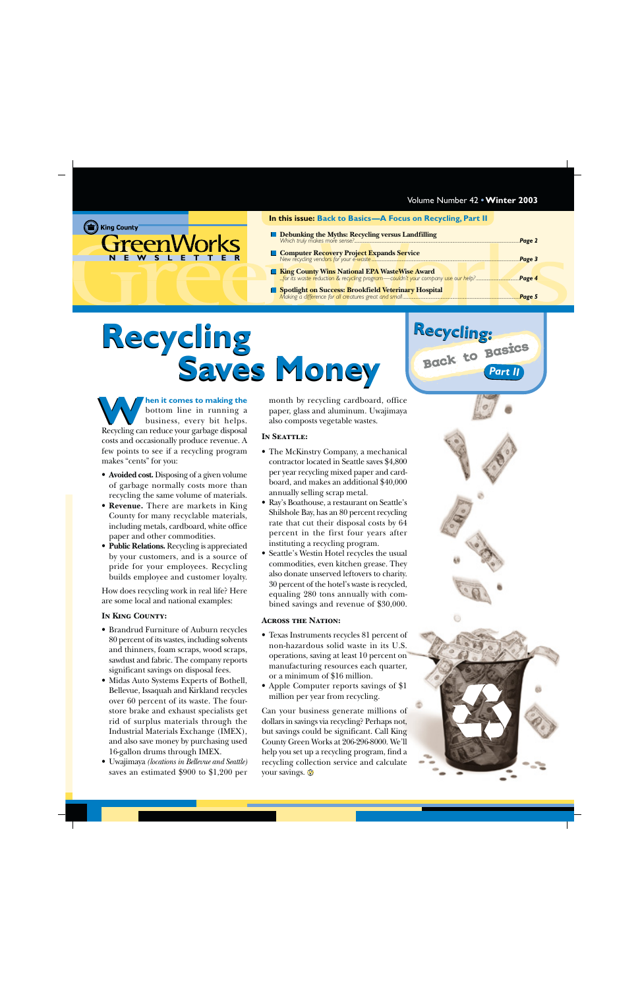### <span id="page-0-0"></span>(the King County **GreenWorks** WSLETTE

### **In this issue: Back to Basics—A Focus on Recycling, Part II**

- **Debunking the Myths: Recycling versus Landfilling** *[Which truly makes more sense?.........................................................................................................................................................](#page-1-0)Page 2*
- **[Computer Recovery Project Expands Service](#page-2-0)** *New recycling vendors for your e-waste .........................................................................................................................................Page 3*
- **King County Wins National EPA WasteWise Award** *[...for its waste reduction & recycling program—couldn't your company use our help?........................................](#page-3-0)Page 4* **[Spotlight on Success: Brookfield Veterinary Hospital](#page-4-0)** *Making a difference for all creatures great and small ............................................................................................................Page 5*

# **Recycling Recycling** Saves Money **Back to Basics**

**hen it comes to making the** bottom line in running a business, every bit helps. Recycling can reduce your garbage disposal costs and occasionally produce revenue. A few points to see if a recycling program makes "cents" for you: **WE have the set of the month** by recycling cardboard, office bottom line in running a business, every bit helps. Recycling can reduce your garbage disposal

- **Avoided cost.** Disposing of a given volume of garbage normally costs more than recycling the same volume of materials.
- **Revenue.** There are markets in King County for many recyclable materials, including metals, cardboard, white office paper and other commodities.
- **Public Relations.** Recycling is appreciated by your customers, and is a source of pride for your employees. Recycling builds employee and customer loyalty.

How does recycling work in real life? Here are some local and national examples:

### **In King County:**

- Brandrud Furniture of Auburn recycles 80 percent of its wastes, including solvents and thinners, foam scraps, wood scraps, sawdust and fabric. The company reports significant savings on disposal fees.
- Midas Auto Systems Experts of Bothell, Bellevue, Issaquah and Kirkland recycles over 60 percent of its waste. The fourstore brake and exhaust specialists get rid of surplus materials through the Industrial Materials Exchange (IMEX), and also save money by purchasing used 16-gallon drums through IMEX.
- Uwajimaya *(locations in Bellevue and Seattle)* saves an estimated \$900 to \$1,200 per

paper, glass and aluminum. Uwajimaya also composts vegetable wastes.

### **In Seattle:**

- The McKinstry Company, a mechanical contractor located in Seattle saves \$4,800 per year recycling mixed paper and cardboard, and makes an additional \$40,000 annually selling scrap metal.
- Ray's Boathouse, a restaurant on Seattle's Shilshole Bay, has an 80 percent recycling rate that cut their disposal costs by 64 percent in the first four years after instituting a recycling program.
- Seattle's Westin Hotel recycles the usual commodities, even kitchen grease. They also donate unserved leftovers to charity. 30 percent of the hotel's waste is recycled, equaling 280 tons annually with combined savings and revenue of \$30,000.

### **Across the Nation:**

- Texas Instruments recycles 81 percent of non-hazardous solid waste in its U.S. operations, saving at least 10 percent on manufacturing resources each quarter, or a minimum of \$16 million.
- Apple Computer reports savings of \$1 million per year from recycling.

Can your business generate millions of dollars in savings via recycling? Perhaps not, but savings could be significant. Call King County Green Works at 206-296-8000. We'll help you set up a recycling program, find a recycling collection service and calculate your savings.  $\odot$ 



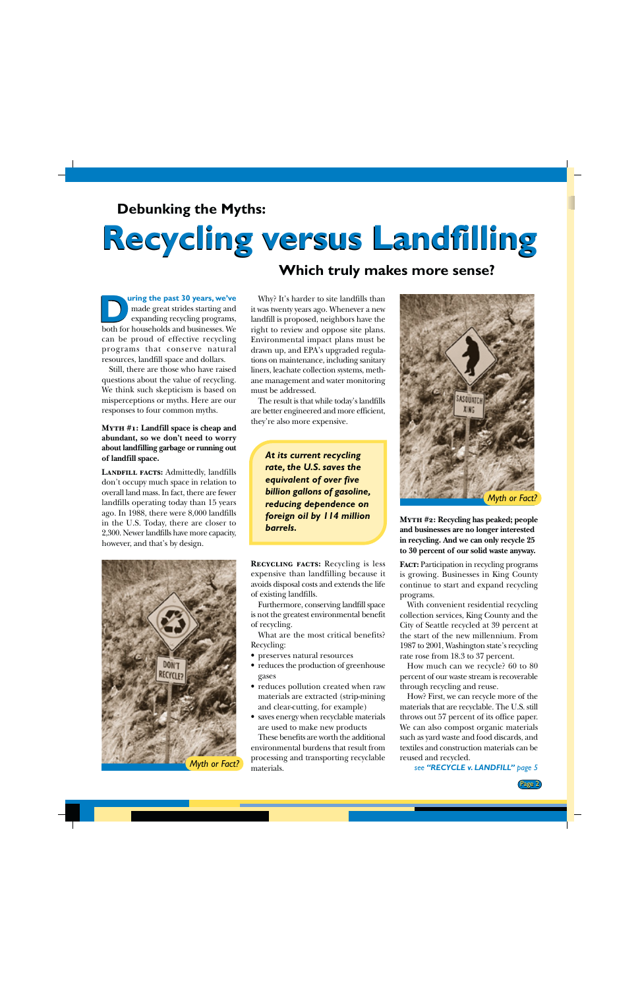### <span id="page-1-0"></span>**Debunking the Myths:**

# **Recycling versus Landfilling Recycling versus Landfilling**

### **Which truly makes more sense?**

**uring the past 30 years, we've** made great strides starting and expanding recycling programs, **D** uring the past 30 years, we've made great strides starting and expanding recycling programs, both for households and businesses. We can be proud of effective recycling programs that conserve natural resources, landfill space and dollars.

Still, there are those who have raised questions about the value of recycling. We think such skepticism is based on misperceptions or myths. Here are our responses to four common myths.

### **Myth #1: Landfill space is cheap and abundant, so we don't need to worry about landfilling garbage or running out of landfill space.**

**Landfill facts:** Admittedly, landfills don't occupy much space in relation to overall land mass. In fact, there are fewer landfills operating today than 15 years ago. In 1988, there were 8,000 landfills in the U.S. Today, there are closer to 2,300. Newer landfills have more capacity, however, and that's by design.

Why? It's harder to site landfills than it was twenty years ago. Whenever a new landfill is proposed, neighbors have the right to review and oppose site plans. Environmental impact plans must be drawn up, and EPA's upgraded regulations on maintenance, including sanitary liners, leachate collection systems, methane management and water monitoring must be addressed.

The result is that while today's landfills are better engineered and more efficient, they're also more expensive.

*At its current recycling rate, the U.S. saves the equivalent of over five billion gallons of gasoline, reducing dependence on foreign oil by 114 million barrels.*



*Myth or Fact?*

**Recycling facts:** Recycling is less expensive than landfilling because it avoids disposal costs and extends the life of existing landfills.

Furthermore, conserving landfill space is not the greatest environmental benefit of recycling.

What are the most critical benefits? Recycling:

- preserves natural resources
- reduces the production of greenhouse gases
- reduces pollution created when raw materials are extracted (strip-mining and clear-cutting, for example)
- saves energy when recyclable materials are used to make new products

These benefits are worth the additional environmental burdens that result from processing and transporting recyclable materials.



**Myth #2: Recycling has peaked; people and businesses are no longer interested in recycling. And we can only recycle 25 to 30 percent of our solid waste anyway.**

**Fact:** Participation in recycling programs is growing. Businesses in King County continue to start and expand recycling programs.

With convenient residential recycling collection services, King County and the City of Seattle recycled at 39 percent at the start of the new millennium. From 1987 to 2001, Washington state's recycling rate rose from 18.3 to 37 percent.

How much can we recycle? 60 to 80 percent of our waste stream is recoverable through recycling and reuse.

How? First, we can recycle more of the materials that are recyclable. The U.S. still throws out 57 percent of its office paper. We can also compost organic materials such as yard waste and food discards, and textiles and construction materials can be reused and recycled.

*see ["RECYCLE v. LANDFILL"](#page-4-0) page 5*

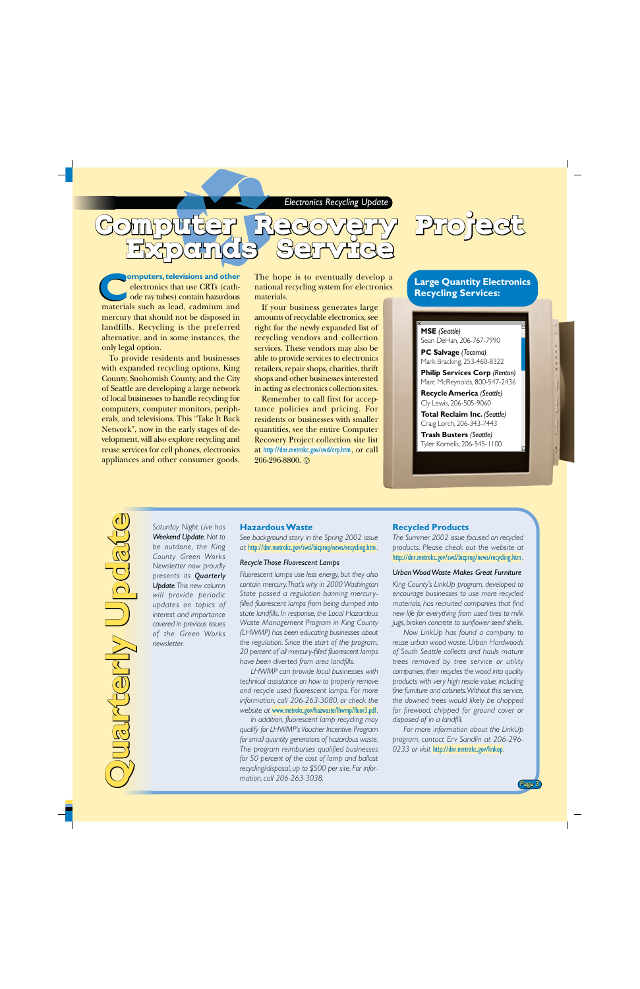

<span id="page-2-0"></span>

**omputers, televisions and other** electronics that use CRTs (cathode ray tubes) contain hazardous materials such as lead, cadmium and mercury that should not be disposed in landfills. Recycling is the preferred alternative, and in some instances, the only legal option. **COMPUTER CONSTREMENT THE HOPE IS to eventually develop a electronics that use CRTs (cath-<br>
ode ray tubes) contain hazardous materials.<br>
materials such as lead, cadmium and If your business generates large** 

To provide residents and businesses with expanded recycling options, King County, Snohomish County, and the City of Seattle are developing a large network of local businesses to handle recycling for computers, computer monitors, peripherals, and televisions. This "Take It Back Network", now in the early stages of development, will also explore recycling and reuse services for cell phones, electronics appliances and other consumer goods. national recycling system for electronics materials.

If your business generates large amounts of recyclable electronics, see right for the newly expanded list of recycling vendors and collection services. These vendors may also be able to provide services to electronics retailers, repair shops, charities, thrift shops and other businesses interested in acting as electronics collection sites.

Remember to call first for acceptance policies and pricing. For residents or businesses with smaller quantities, see the entire Computer Recovery Project collection site list at <http://dnr.metrokc.gov/swd/crp.htm>, or call 206-296-8800.

### **Large Quantity Electronics Recycling Services:**

**MSE** *(Seattle)* Sean DeHan, 206-767-7990

**PC Salvage** *(Tacoma)* Mark Bracking, 253-460-8322

**Philip Services Corp** *(Renton)* Marc McReynolds, 800-547-2436

**Recycle America** *(Seattle)* Cly Lewis, 206-505-9060

**Total Reclaim Inc.** *(Seattle)* Craig Lorch, 206-343-7443

**Trash Busters** *(Seattle)* Tyler Kornelis, 206-545-1100

# **Quarterly Update Update** A Hahkish

*Saturday Night Live has Weekend Update. Not to be outdone, the King County Green Works Newsletter now proudly presents its Quarterly Update. This new column will provide periodic updates on topics of interest and importance covered in previous issues of the Green Works newsletter.*

### **Hazardous Waste**

*See background story in the Spring 2002 issue at* <http://dnr.metrokc.gov/swd/bizprog/news/recycling.htm>*.*

### *Recycle Those Fluorescent Lamps*

*Fluorescent lamps use less energy, but they also contain mercury. That's why in 2000 Washington State passed a regulation banning mercuryfilled fluorescent lamps from being dumped into state landfills. In response, the Local Hazardous Waste Management Program in King County (LHWMP) has been educating businesses about the regulation. Since the start of the program, 20 percent of all mercury-filled fluorescent lamps have been diverted from area landfills.*

*LHWMP can provide local businesses with technical assistance on how to properly remove and recycle used fluorescent lamps. For more information, call 206-263-3080, or check the website at* [www.metrokc.gov/hazwaste/lhwmp/fluor3.pdf](http://www.metrokc.gov/hazwaste/lhwmp/fluor3.pdf)*.*

*In addition, fluorescent lamp recycling may qualify for LHWMP's Voucher Incentive Program for small quantity generators of hazardous waste. The program reimburses qualified businesses for 50 percent of the cost of lamp and ballast recycling/disposal, up to \$500 per site. For information, call 206-263-3038.*

### **Recycled Products**

*The Summer 2002 issue focused on recycled products. Please check out the website at* <http://dnr.metrokc.gov/swd/bizprog/news/recycling.htm>*.*

### *Urban Wood Waste Makes Great Furniture*

*King County's LinkUp program, developed to encourage businesses to use more recycled materials, has recruited companies that find new life for everything from used tires to milk jugs, broken concrete to sunflower seed shells.*

*Now LinkUp has found a company to reuse urban wood waste. Urban Hardwoods of South Seattle collects and hauls mature trees removed by tree service or utility companies, then recycles the wood into quality products with very high resale value, including fine furniture and cabinets. Without this service, the downed trees would likely be chopped for firewood, chipped for ground cover or disposed of in a landfill.*

*For more information about the LinkUp program, contact Erv Sandlin at 206-296- 0233 or visit* <http://dnr.metrokc.gov/linkup>*.*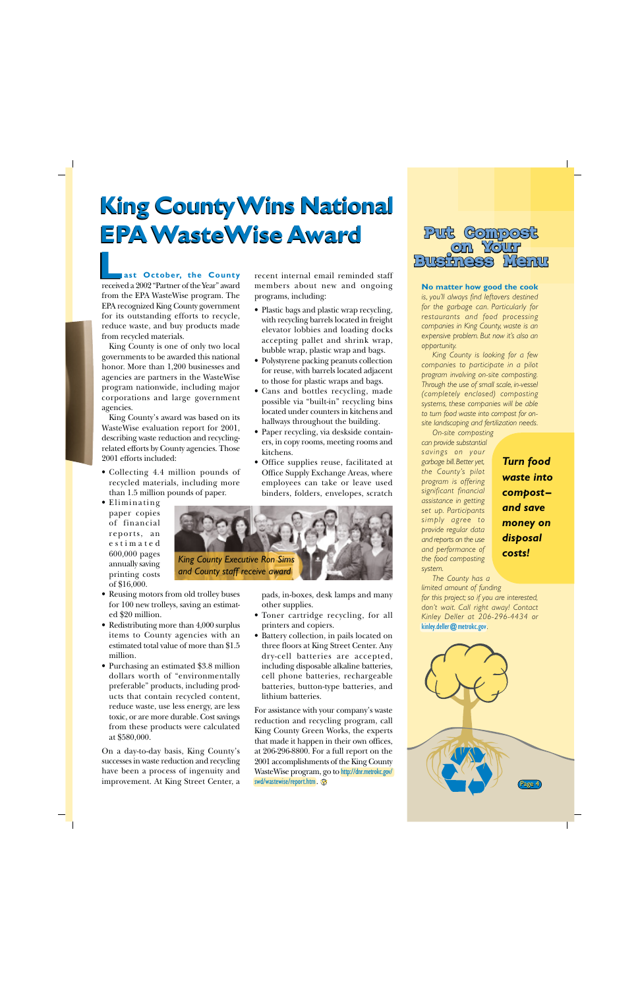# <span id="page-3-0"></span>**King County Wins National King County Wins National EPA WasteWise Award EPA WasteWise Award Put Compost**

**ast October, the County** received a 2002 "Partner of the Year" award from the EPA WasteWise program. The EPA recognized King County government for its outstanding efforts to recycle, reduce waste, and buy products made from recycled materials. **L**<br>**Let us ast October, the County** recent internal email reminded staff<br>received a 2002 "Partner of the Year" award members about new and ongoing

King County is one of only two local governments to be awarded this national honor. More than 1,200 businesses and agencies are partners in the WasteWise program nationwide, including major corporations and large government agencies.

King County's award was based on its WasteWise evaluation report for 2001, describing waste reduction and recyclingrelated efforts by County agencies. Those 2001 efforts included:

- Collecting 4.4 million pounds of recycled materials, including more than 1.5 million pounds of paper.
- Eliminating paper copies of financial reports, an estimated 600,000 pages annually saving printing costs of \$16,000.
- Reusing motors from old trolley buses for 100 new trolleys, saving an estimated \$20 million.
- Redistributing more than 4,000 surplus items to County agencies with an estimated total value of more than \$1.5 million.
- Purchasing an estimated \$3.8 million dollars worth of "environmentally preferable" products, including products that contain recycled content, reduce waste, use less energy, are less toxic, or are more durable. Cost savings from these products were calculated at \$580,000.

On a day-to-day basis, King County's successes in waste reduction and recycling have been a process of ingenuity and improvement. At King Street Center, a members about new and ongoing programs, including:

- Plastic bags and plastic wrap recycling, with recycling barrels located in freight elevator lobbies and loading docks accepting pallet and shrink wrap, bubble wrap, plastic wrap and bags.
- Polystyrene packing peanuts collection for reuse, with barrels located adjacent to those for plastic wraps and bags.
- Cans and bottles recycling, made possible via "built-in" recycling bins located under counters in kitchens and hallways throughout the building.
- Paper recycling, via deskside containers, in copy rooms, meeting rooms and kitchens.
- Office supplies reuse, facilitated at Office Supply Exchange Areas, where employees can take or leave used binders, folders, envelopes, scratch



pads, in-boxes, desk lamps and many other supplies.

- Toner cartridge recycling, for all printers and copiers.
- Battery collection, in pails located on three floors at King Street Center. Any dry-cell batteries are accepted, including disposable alkaline batteries, cell phone batteries, rechargeable batteries, button-type batteries, and lithium batteries.

For assistance with your company's waste reduction and recycling program, call King County Green Works, the experts that made it happen in their own offices, at 206-296-8800. For a full report on the 2001 accomplishments of the King County WasteWise program, go to [http://dnr.metrokc.gov/](http://dnr.metrokc.gov/swd/wastewise/report.htm) [swd/wastewise/report.htm](http://dnr.metrokc.gov/swd/wastewise/report.htm).



### **No matter how good the cook**

*is, you'll always find leftovers destined for the garbage can. Particularly for restaurants and food processing companies in King County, waste is an expensive problem. But now it's also an opportunity.*

*King County is looking for a few companies to participate in a pilot program involving on-site composting. Through the use of small scale, in-vessel (completely enclosed) composting systems, these companies will be able to turn food waste into compost for onsite landscaping and fertilization needs.*

*On-site composting can provide substantial savings on your garbage bill. Better yet, the County's pilot program is offering significant financial assistance in getting set up. Participants simply agree to provide regular data and reports on the use and performance of the food composting system.*

*Turn food waste into compost– and save money on disposal costs!*

*The County has a limited amount of funding for this project; so if you are interested, don't wait. Call right away! Contact Kinley Deller at 206-296-4434 or* [kinley.deller@metrokc.gov](mailto:kinley.deller@metrokc.gov)*.*

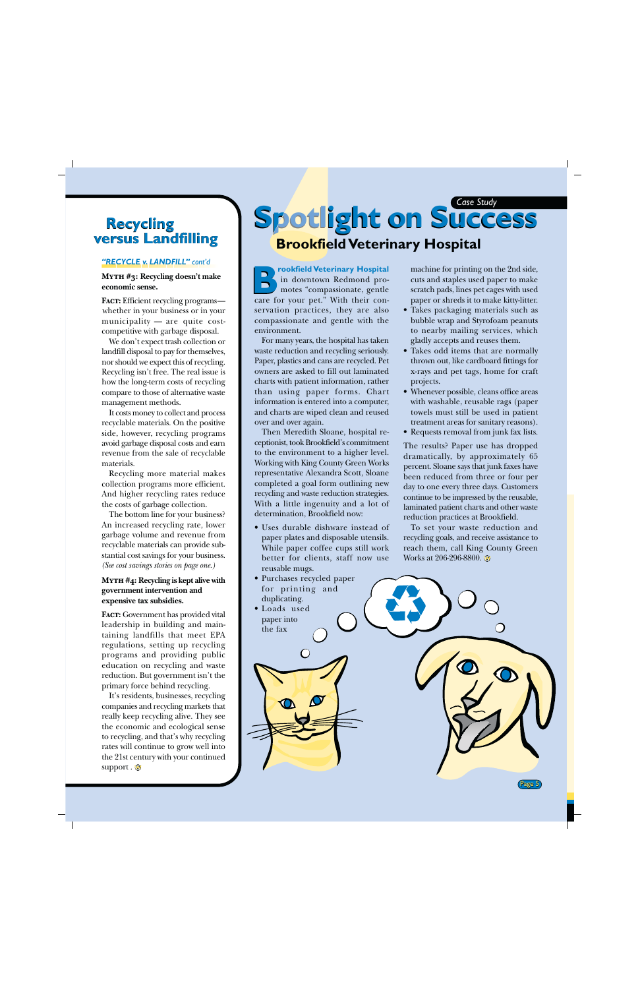### <span id="page-4-0"></span>**Recycling versus Landfilling**

### *["RECYCLE v. LANDFILL"](#page-1-0) cont'd*

### **Myth #3: Recycling doesn't make economic sense.**

**Fact:** Efficient recycling programs whether in your business or in your municipality — are quite costcompetitive with garbage disposal.

We don't expect trash collection or landfill disposal to pay for themselves, nor should we expect this of recycling. Recycling isn't free. The real issue is how the long-term costs of recycling compare to those of alternative waste management methods.

It costs money to collect and process recyclable materials. On the positive side, however, recycling programs avoid garbage disposal costs and earn revenue from the sale of recyclable materials.

Recycling more material makes collection programs more efficient. And higher recycling rates reduce the costs of garbage collection.

The bottom line for your business? An increased recycling rate, lower garbage volume and revenue from recyclable materials can provide substantial cost savings for your business. *[\(See cost savings stories on page one.\)](#page-0-0)*

### **Myth #4: Recycling is kept alive with government intervention and expensive tax subsidies.**

**Fact:** Government has provided vital leadership in building and maintaining landfills that meet EPA regulations, setting up recycling programs and providing public education on recycling and waste reduction. But government isn't the primary force behind recycling.

It's residents, businesses, recycling companies and recycling markets that really keep recycling alive. They see the economic and ecological sense to recycling, and that's why recycling rates will continue to grow well into the 21st century with your continued support .  $\odot$ 

# *Case Study* **Spotlight on Success Spotlight on Success Spotl Brookfield Veterinary Hospital**

**rookfield Veterinary Hospital** in downtown Redmond promotes "compassionate, gentle **B** rookfield Veterinary Hospital<br>in downtown Redmond pro-<br>motes "compassionate, gentle<br>care for your pet." With their conservation practices, they are also compassionate and gentle with the environment.

For many years, the hospital has taken waste reduction and recycling seriously. Paper, plastics and cans are recycled. Pet owners are asked to fill out laminated charts with patient information, rather than using paper forms. Chart information is entered into a computer, and charts are wiped clean and reused over and over again.

Then Meredith Sloane, hospital receptionist, took Brookfield's commitment to the environment to a higher level. Working with King County Green Works representative Alexandra Scott, Sloane completed a goal form outlining new recycling and waste reduction strategies. With a little ingenuity and a lot of determination, Brookfield now:

- Uses durable dishware instead of paper plates and disposable utensils. While paper coffee cups still work better for clients, staff now use reusable mugs.
- Purchases recycled paper for printing and duplicating.

 $\bigcirc$ 

• Loads used paper into the fax

machine for printing on the 2nd side, cuts and staples used paper to make scratch pads, lines pet cages with used paper or shreds it to make kitty-litter.

- Takes packaging materials such as bubble wrap and Styrofoam peanuts to nearby mailing services, which gladly accepts and reuses them.
- Takes odd items that are normally thrown out, like cardboard fittings for x-rays and pet tags, home for craft projects.
- Whenever possible, cleans office areas with washable, reusable rags (paper towels must still be used in patient treatment areas for sanitary reasons).
- Requests removal from junk fax lists.

The results? Paper use has dropped dramatically, by approximately 65 percent. Sloane says that junk faxes have been reduced from three or four per day to one every three days. Customers continue to be impressed by the reusable, laminated patient charts and other waste reduction practices at Brookfield.

To set your waste reduction and recycling goals, and receive assistance to reach them, call King County Green Works at 206-296-8800.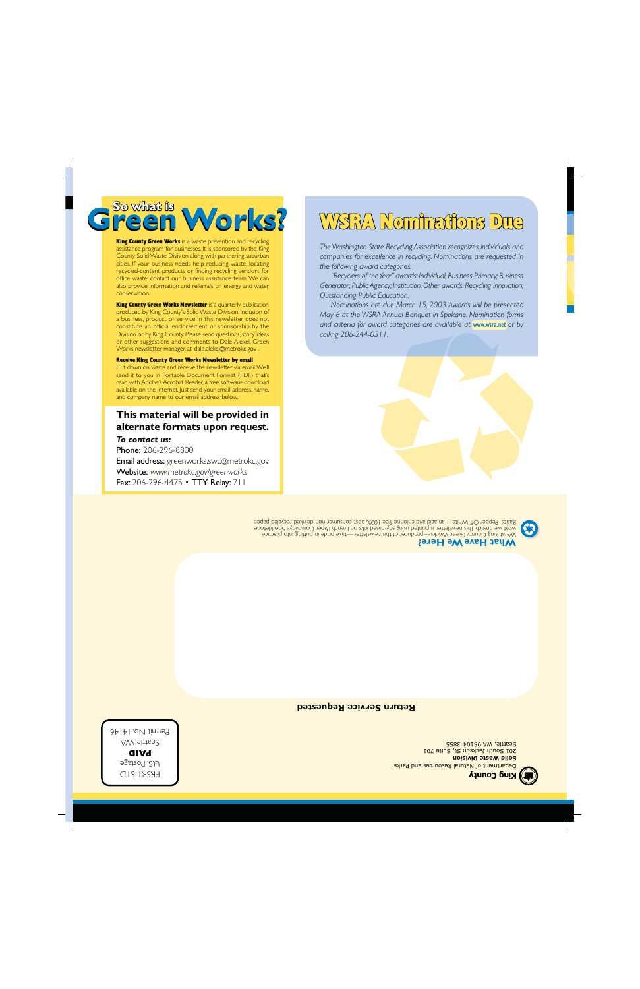**Solid Waste Division** Department of Natural Resources and Parks **King County** 

201 South Jackson St, Suite 701 Seattle, WA 98104-3855

**Return Service Requested**

We at King County Green Works—producer of this newsletter—take pride in putting into practice what we preach. This newsletter is neprinted using sol-based inks and a paper Company's Speckletone Basics–Pepper Off-White—an acid and chlorine free 100% post-consumer non-deinked recycled paper.

**What Have We Here?**

**This material will be provided in alternate formats upon request.**

Email address: [greenworks.swd@metrokc.gov](mailto:greenworks.swd@metrokc.gov) Website: *[www.metrokc.gov/greenworks](http://www.metrokc.gov/greenworks)* Fax: 206-296-4475 • TTY Relay: 711

*To contact us:* Phone: 206-296-8800

PRSRT STD .S. Postage U **PAID** Seattle, WA  $P$ ermit No. 14146

# Receive King County Green Works Newsletter by email

Cut down on waste and receive the newsletter via email. We'll send it to you in Portable Document Format (PDF) that's read with Adobe's Acrobat Reader, a free software download available on the Internet. Just send your email address, name, and company name to our email address below.

constitute an official endorsement or sponsorship by the Division or by King County. Please send questions, story ideas or other suggestions and comments to Dale Alekel, Green Works newsletter manager, at [dale.alekel@metrokc.gov](mailto:dale.alekel@metrokc.gov).

a business, product or service in this newsletter does not

#### assistance program for businesses. It is sponsored by the King County Solid Waste Division along with partnering suburban cities. If your business needs help reducing waste, locating recycled-content products or finding recycling vendors for office waste, contact our business assistance team. We can also provide information and referrals on energy and water conservation.

### **So what is**<br>**Ifeen Works?** WSRA Nominations Due

*The Washington State Recycling Association recognizes individuals and companies for excellence in recycling. Nominations are requested in the following award categories:*

*"Recyclers of the Year" awards: Individual; Business Primary; Business Generator; Public Agency; Institution. Other awards: Recycling Innovation; Outstanding Public Education.*

*Nominations are due March 15, 2003. Awards will be presented May 6 at the WSRA Annual Banquet in Spokane. Nomination forms and criteria for award categories are available at* [www.wsra.net](http://www.wsra.net) *or by calling 206-244-0311.*





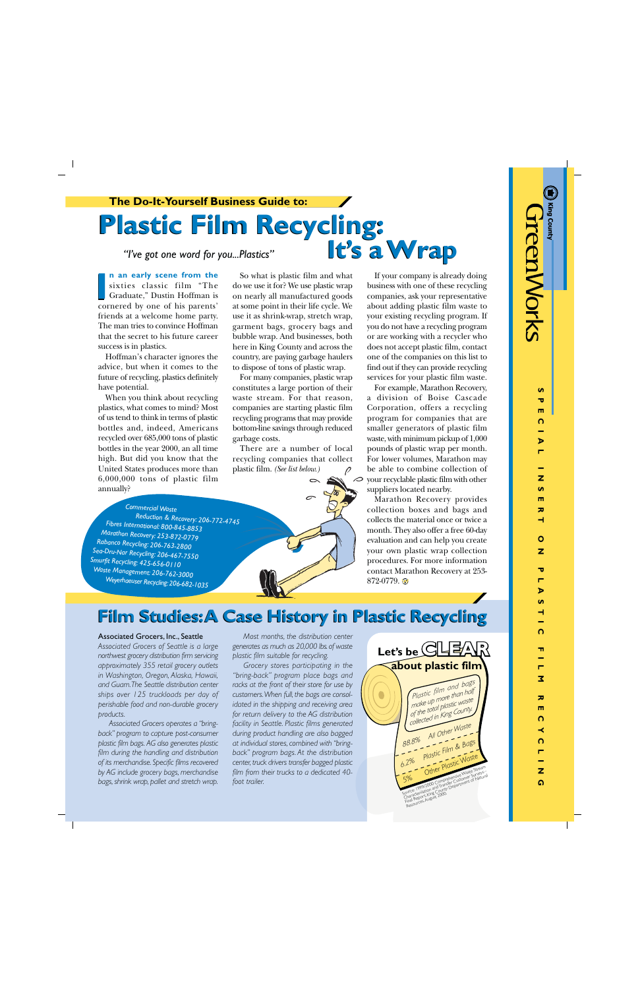$\mathbf{v}$ 70

# **Plastic Film Recycling: Plastic Film Recycling: It's a Wrap It's a Wrap**

*"I've got one word for you...Plastics"*

**n an early scene from the** sixties classic film "The Graduate," Dustin Hoffman is **n an early scene from the**<br>sixties classic film "The<br>Graduate," Dustin Hoffman is<br>cornered by one of his parents' friends at a welcome home party. The man tries to convince Hoffman that the secret to his future career success is in plastics.

Hoffman's character ignores the advice, but when it comes to the future of recycling, plastics definitely have potential.

When you think about recycling plastics, what comes to mind? Most of us tend to think in terms of plastic bottles and, indeed, Americans recycled over 685,000 tons of plastic bottles in the year 2000, an all time high. But did you know that the United States produces more than 6,000,000 tons of plastic film annually?

*Commercial Waste*

*Fibres International: 800-845-8853 Marathon Recovery: 253-872-0779 Rabanco Recycling: 206-763-2800 Sea-Dru-Nar Recycling: 206-467-7550 Smurfit Recycling: 425-656-0110 Waste Management: 206-762-3000*

*Weyerhaeuser Recycling: 206-682-1035*

 *Reduction & Recovery: 206-772-4745*

So what is plastic film and what do we use it for? We use plastic wrap on nearly all manufactured goods at some point in their life cycle. We use it as shrink-wrap, stretch wrap, garment bags, grocery bags and bubble wrap. And businesses, both here in King County and across the country, are paying garbage haulers to dispose of tons of plastic wrap.

For many companies, plastic wrap constitutes a large portion of their waste stream. For that reason, companies are starting plastic film recycling programs that may provide bottom-line savings through reduced garbage costs.

There are a number of local recycling companies that collect plastic film. *(See list below.)*



If your company is already doing business with one of these recycling companies, ask your representative about adding plastic film waste to your existing recycling program. If you do not have a recycling program or are working with a recycler who does not accept plastic film, contact one of the companies on this list to find out if they can provide recycling services for your plastic film waste.

For example, Marathon Recovery, a division of Boise Cascade Corporation, offers a recycling program for companies that are smaller generators of plastic film waste, with minimum pickup of 1,000 pounds of plastic wrap per month. For lower volumes, Marathon may be able to combine collection of your recyclable plastic film with other suppliers located nearby.

Marathon Recovery provides collection boxes and bags and collects the material once or twice a month. They also offer a free 60-day evaluation and can help you create your own plastic wrap collection procedures. For more information contact Marathon Recovery at 253- 872-0779.

## **Film Studies: A Case History in Plastic Recycling Film Studies: A Case History in Plastic Recycling**

### Associated Grocers, Inc., Seattle

*Associated Grocers of Seattle is a large northwest grocery distribution firm servicing approximately 355 retail grocery outlets in Washington, Oregon, Alaska, Hawaii, and Guam. The Seattle distribution center ships over 125 truckloads per day of perishable food and non-durable grocery products.*

*Associated Grocers operates a "bringback" program to capture post-consumer plastic film bags. AG also generates plastic film during the handling and distribution of its merchandise. Specific films recovered by AG include grocery bags, merchandise bags, shrink wrap, pallet and stretch wrap.*

*Most months, the distribution center generates as much as 20,000 lbs. of waste plastic film suitable for recycling.*

*Grocery stores participating in the "bring-back" program place bags and racks at the front of their store for use by customers. When full, the bags are consolidated in the shipping and receiving area for return delivery to the AG distribution facility in Seattle. Plastic films generated during product handling are also bagged at individual stores, combined with "bringback" program bags. At the distribution center, truck drivers transfer bagged plastic film from their trucks to a dedicated 40 foot trailer.*

Source: 1999/2000 Comprehensive Waste Stream<br>Source: 1999/2000 Comprehensive Waste Surveys<br>Sources, August 2000.<br>Characterization and Transfer Customer of Natural<br>Final Resources, August 2000. *Other Plastic Waste 6.2% Plastic Film & Bags 88.8% All Other Waste* **Let's be CLEAR** *Plastic film and bags make up more than half of the total plastic waste collected in King County.*